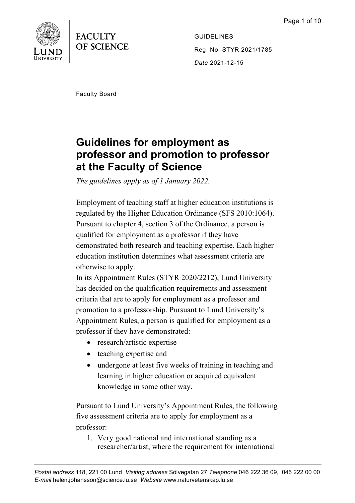



GUIDELINES Reg. No. STYR 2021/1785 *Date* 2021-12-15

Faculty Board

# **Guidelines for employment as professor and promotion to professor at the Faculty of Science**

*The guidelines apply as of 1 January 2022.*

Employment of teaching staff at higher education institutions is regulated by the Higher Education Ordinance (SFS 2010:1064). Pursuant to chapter 4, section 3 of the Ordinance, a person is qualified for employment as a professor if they have demonstrated both research and teaching expertise. Each higher education institution determines what assessment criteria are otherwise to apply.

In its Appointment Rules (STYR 2020/2212), Lund University has decided on the qualification requirements and assessment criteria that are to apply for employment as a professor and promotion to a professorship. Pursuant to Lund University's Appointment Rules, a person is qualified for employment as a professor if they have demonstrated:

- research/artistic expertise
- teaching expertise and
- undergone at least five weeks of training in teaching and learning in higher education or acquired equivalent knowledge in some other way.

Pursuant to Lund University's Appointment Rules, the following five assessment criteria are to apply for employment as a professor:

1. Very good national and international standing as a researcher/artist, where the requirement for international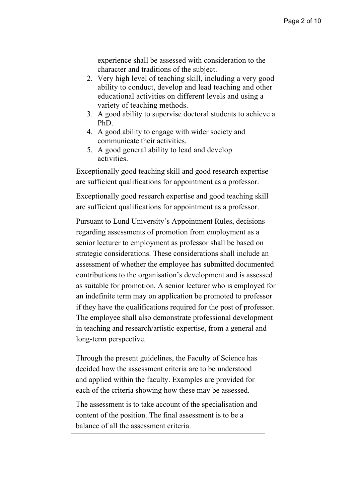experience shall be assessed with consideration to the character and traditions of the subject.

- 2. Very high level of teaching skill, including a very good ability to conduct, develop and lead teaching and other educational activities on different levels and using a variety of teaching methods.
- 3. A good ability to supervise doctoral students to achieve a PhD.
- 4. A good ability to engage with wider society and communicate their activities.
- 5. A good general ability to lead and develop activities.

Exceptionally good teaching skill and good research expertise are sufficient qualifications for appointment as a professor.

Exceptionally good research expertise and good teaching skill are sufficient qualifications for appointment as a professor.

Pursuant to Lund University's Appointment Rules, decisions regarding assessments of promotion from employment as a senior lecturer to employment as professor shall be based on strategic considerations. These considerations shall include an assessment of whether the employee has submitted documented contributions to the organisation's development and is assessed as suitable for promotion. A senior lecturer who is employed for an indefinite term may on application be promoted to professor if they have the qualifications required for the post of professor. The employee shall also demonstrate professional development in teaching and research/artistic expertise, from a general and long-term perspective.

Through the present guidelines, the Faculty of Science has decided how the assessment criteria are to be understood and applied within the faculty. Examples are provided for each of the criteria showing how these may be assessed.

The assessment is to take account of the specialisation and content of the position. The final assessment is to be a balance of all the assessment criteria.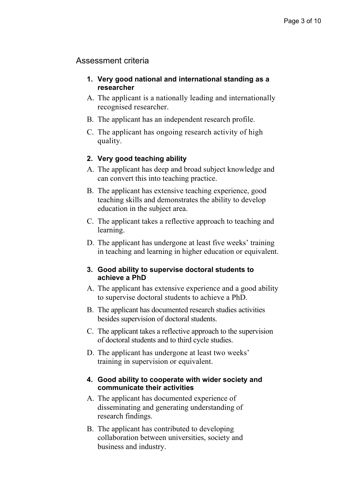# Assessment criteria

- **1. Very good national and international standing as a researcher**
- A. The applicant is a nationally leading and internationally recognised researcher.
- B. The applicant has an independent research profile.
- C. The applicant has ongoing research activity of high quality.

## **2. Very good teaching ability**

- A. The applicant has deep and broad subject knowledge and can convert this into teaching practice.
- B. The applicant has extensive teaching experience, good teaching skills and demonstrates the ability to develop education in the subject area.
- C. The applicant takes a reflective approach to teaching and learning.
- D. The applicant has undergone at least five weeks' training in teaching and learning in higher education or equivalent.

## **3. Good ability to supervise doctoral students to achieve a PhD**

- A. The applicant has extensive experience and a good ability to supervise doctoral students to achieve a PhD.
- B. The applicant has documented research studies activities besides supervision of doctoral students.
- C. The applicant takes a reflective approach to the supervision of doctoral students and to third cycle studies.
- D. The applicant has undergone at least two weeks' training in supervision or equivalent.

## **4. Good ability to cooperate with wider society and communicate their activities**

- A. The applicant has documented experience of disseminating and generating understanding of research findings.
- B. The applicant has contributed to developing collaboration between universities, society and business and industry.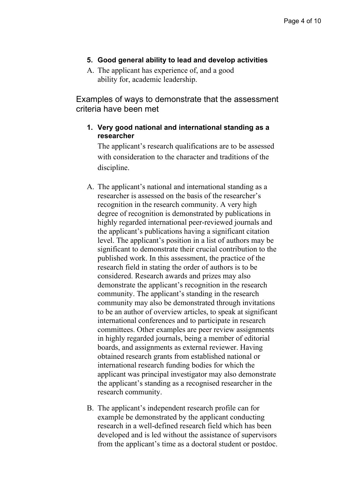## **5. Good general ability to lead and develop activities**

A. The applicant has experience of, and a good ability for, academic leadership.

Examples of ways to demonstrate that the assessment criteria have been met

## **1. Very good national and international standing as a researcher**

The applicant's research qualifications are to be assessed with consideration to the character and traditions of the discipline.

- A. The applicant's national and international standing as a researcher is assessed on the basis of the researcher's recognition in the research community. A very high degree of recognition is demonstrated by publications in highly regarded international peer-reviewed journals and the applicant's publications having a significant citation level. The applicant's position in a list of authors may be significant to demonstrate their crucial contribution to the published work. In this assessment, the practice of the research field in stating the order of authors is to be considered. Research awards and prizes may also demonstrate the applicant's recognition in the research community. The applicant's standing in the research community may also be demonstrated through invitations to be an author of overview articles, to speak at significant international conferences and to participate in research committees. Other examples are peer review assignments in highly regarded journals, being a member of editorial boards, and assignments as external reviewer. Having obtained research grants from established national or international research funding bodies for which the applicant was principal investigator may also demonstrate the applicant's standing as a recognised researcher in the research community.
- B. The applicant's independent research profile can for example be demonstrated by the applicant conducting research in a well-defined research field which has been developed and is led without the assistance of supervisors from the applicant's time as a doctoral student or postdoc.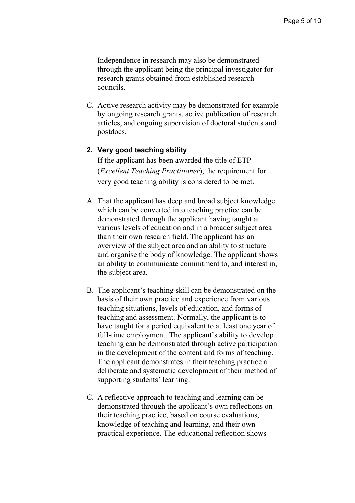Independence in research may also be demonstrated through the applicant being the principal investigator for research grants obtained from established research councils.

C. Active research activity may be demonstrated for example by ongoing research grants, active publication of research articles, and ongoing supervision of doctoral students and postdocs.

#### **2. Very good teaching ability**

If the applicant has been awarded the title of ETP (*Excellent Teaching Practitioner*), the requirement for very good teaching ability is considered to be met.

- A. That the applicant has deep and broad subject knowledge which can be converted into teaching practice can be demonstrated through the applicant having taught at various levels of education and in a broader subject area than their own research field. The applicant has an overview of the subject area and an ability to structure and organise the body of knowledge. The applicant shows an ability to communicate commitment to, and interest in, the subject area.
- B. The applicant's teaching skill can be demonstrated on the basis of their own practice and experience from various teaching situations, levels of education, and forms of teaching and assessment. Normally, the applicant is to have taught for a period equivalent to at least one year of full-time employment. The applicant's ability to develop teaching can be demonstrated through active participation in the development of the content and forms of teaching. The applicant demonstrates in their teaching practice a deliberate and systematic development of their method of supporting students' learning.
- C. A reflective approach to teaching and learning can be demonstrated through the applicant's own reflections on their teaching practice, based on course evaluations, knowledge of teaching and learning, and their own practical experience. The educational reflection shows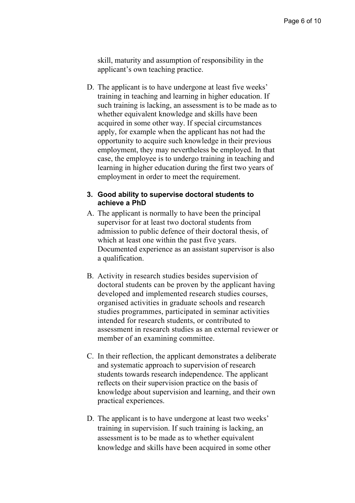skill, maturity and assumption of responsibility in the applicant's own teaching practice.

D. The applicant is to have undergone at least five weeks' training in teaching and learning in higher education. If such training is lacking, an assessment is to be made as to whether equivalent knowledge and skills have been acquired in some other way. If special circumstances apply, for example when the applicant has not had the opportunity to acquire such knowledge in their previous employment, they may nevertheless be employed. In that case, the employee is to undergo training in teaching and learning in higher education during the first two years of employment in order to meet the requirement.

#### **3. Good ability to supervise doctoral students to achieve a PhD**

- A. The applicant is normally to have been the principal supervisor for at least two doctoral students from admission to public defence of their doctoral thesis, of which at least one within the past five years. Documented experience as an assistant supervisor is also a qualification.
- B. Activity in research studies besides supervision of doctoral students can be proven by the applicant having developed and implemented research studies courses, organised activities in graduate schools and research studies programmes, participated in seminar activities intended for research students, or contributed to assessment in research studies as an external reviewer or member of an examining committee.
- C. In their reflection, the applicant demonstrates a deliberate and systematic approach to supervision of research students towards research independence. The applicant reflects on their supervision practice on the basis of knowledge about supervision and learning, and their own practical experiences.
- D. The applicant is to have undergone at least two weeks' training in supervision. If such training is lacking, an assessment is to be made as to whether equivalent knowledge and skills have been acquired in some other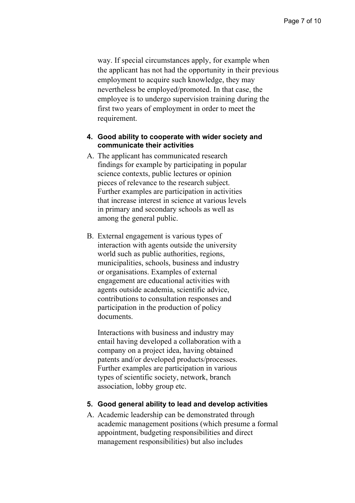way. If special circumstances apply, for example when the applicant has not had the opportunity in their previous employment to acquire such knowledge, they may nevertheless be employed/promoted. In that case, the employee is to undergo supervision training during the first two years of employment in order to meet the requirement.

## **4. Good ability to cooperate with wider society and communicate their activities**

- A. The applicant has communicated research findings for example by participating in popular science contexts, public lectures or opinion pieces of relevance to the research subject. Further examples are participation in activities that increase interest in science at various levels in primary and secondary schools as well as among the general public.
- B. External engagement is various types of interaction with agents outside the university world such as public authorities, regions, municipalities, schools, business and industry or organisations. Examples of external engagement are educational activities with agents outside academia, scientific advice, contributions to consultation responses and participation in the production of policy documents.

Interactions with business and industry may entail having developed a collaboration with a company on a project idea, having obtained patents and/or developed products/processes. Further examples are participation in various types of scientific society, network, branch association, lobby group etc.

#### **5. Good general ability to lead and develop activities**

A. Academic leadership can be demonstrated through academic management positions (which presume a formal appointment, budgeting responsibilities and direct management responsibilities) but also includes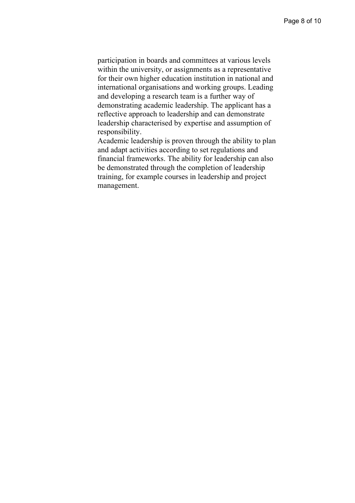participation in boards and committees at various levels within the university, or assignments as a representative for their own higher education institution in national and international organisations and working groups. Leading and developing a research team is a further way of demonstrating academic leadership. The applicant has a reflective approach to leadership and can demonstrate leadership characterised by expertise and assumption of responsibility.

Academic leadership is proven through the ability to plan and adapt activities according to set regulations and financial frameworks. The ability for leadership can also be demonstrated through the completion of leadership training, for example courses in leadership and project management.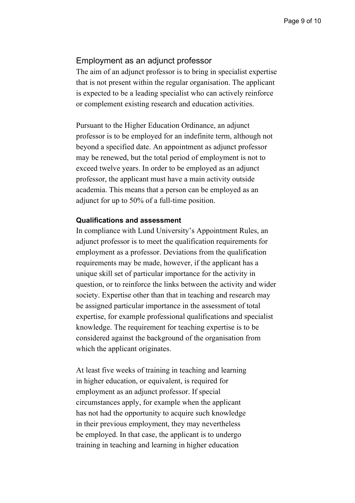## Employment as an adjunct professor

The aim of an adjunct professor is to bring in specialist expertise that is not present within the regular organisation. The applicant is expected to be a leading specialist who can actively reinforce or complement existing research and education activities.

Pursuant to the Higher Education Ordinance, an adjunct professor is to be employed for an indefinite term, although not beyond a specified date. An appointment as adjunct professor may be renewed, but the total period of employment is not to exceed twelve years. In order to be employed as an adjunct professor, the applicant must have a main activity outside academia. This means that a person can be employed as an adjunct for up to 50% of a full-time position.

#### **Qualifications and assessment**

In compliance with Lund University's Appointment Rules, an adjunct professor is to meet the qualification requirements for employment as a professor. Deviations from the qualification requirements may be made, however, if the applicant has a unique skill set of particular importance for the activity in question, or to reinforce the links between the activity and wider society. Expertise other than that in teaching and research may be assigned particular importance in the assessment of total expertise, for example professional qualifications and specialist knowledge. The requirement for teaching expertise is to be considered against the background of the organisation from which the applicant originates.

At least five weeks of training in teaching and learning in higher education, or equivalent, is required for employment as an adjunct professor. If special circumstances apply, for example when the applicant has not had the opportunity to acquire such knowledge in their previous employment, they may nevertheless be employed. In that case, the applicant is to undergo training in teaching and learning in higher education